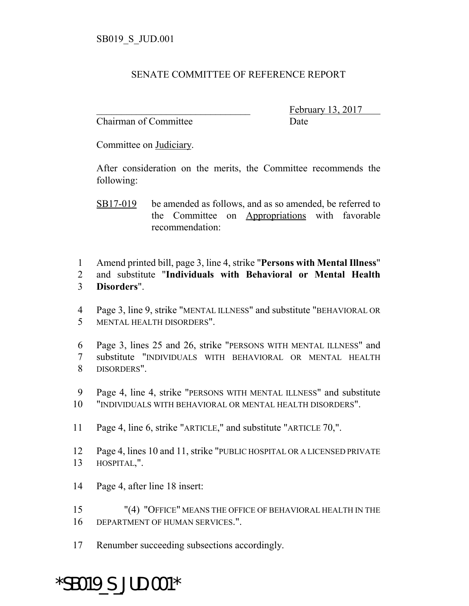## SENATE COMMITTEE OF REFERENCE REPORT

Chairman of Committee Date

February 13, 2017

Committee on Judiciary.

After consideration on the merits, the Committee recommends the following:

- Amend printed bill, page 3, line 4, strike "**Persons with Mental Illness**"
- and substitute "**Individuals with Behavioral or Mental Health Disorders**".
- Page 3, line 9, strike "MENTAL ILLNESS" and substitute "BEHAVIORAL OR MENTAL HEALTH DISORDERS".
- Page 3, lines 25 and 26, strike "PERSONS WITH MENTAL ILLNESS" and substitute "INDIVIDUALS WITH BEHAVIORAL OR MENTAL HEALTH DISORDERS".
- Page 4, line 4, strike "PERSONS WITH MENTAL ILLNESS" and substitute
- "INDIVIDUALS WITH BEHAVIORAL OR MENTAL HEALTH DISORDERS".
- Page 4, line 6, strike "ARTICLE," and substitute "ARTICLE 70,".
- Page 4, lines 10 and 11, strike "PUBLIC HOSPITAL OR A LICENSED PRIVATE HOSPITAL,".
- Page 4, after line 18 insert:
- "(4) "OFFICE" MEANS THE OFFICE OF BEHAVIORAL HEALTH IN THE DEPARTMENT OF HUMAN SERVICES.".
- Renumber succeeding subsections accordingly.

## \*SB019\_S\_JUD.001\*

SB17-019 be amended as follows, and as so amended, be referred to the Committee on Appropriations with favorable recommendation: